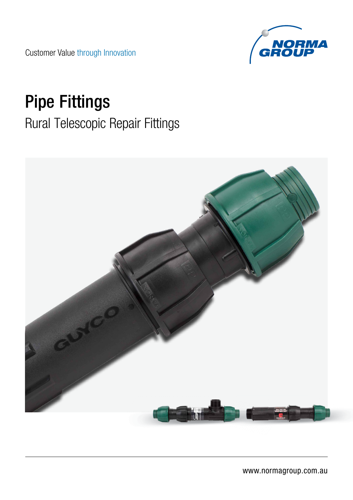Customer Value through Innovation



# Pipe Fittings

# Rural Telescopic Repair Fittings

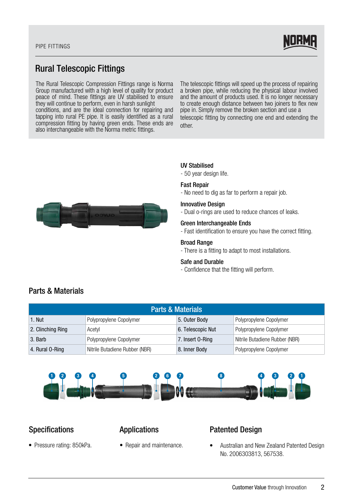#### PIPE FITTINGS



# Rural Telescopic Fittings

The Rural Telescopic Compression Fittings range is Norma Group manufactured with a high level of quality for product peace of mind. These fittings are UV stabilised to ensure they will continue to perform, even in harsh sunlight conditions, and are the ideal connection for repairing and tapping into rural PE pipe. It is easily identified as a rural compression fitting by having green ends. These ends are also interchangeable with the Norma metric fittings.

The telescopic fittings will speed up the process of repairing a broken pipe, while reducing the physical labour involved and the amount of products used. It is no longer necessary to create enough distance between two joiners to flex new pipe in. Simply remove the broken section and use a telescopic fitting by connecting one end and extending the other.



### UV Stabilised

- 50 year design life.

#### Fast Repair

- No need to dig as far to perform a repair job.

#### Innovative Design

- Dual o-rings are used to reduce chances of leaks.

#### Green Interchangeable Ends

- Fast identification to ensure you have the correct fitting.

#### Broad Range

- There is a fitting to adapt to most installations.

#### Safe and Durable

- Confidence that the fitting will perform.

| <b>Parts &amp; Materials</b> |                                |                   |                                |
|------------------------------|--------------------------------|-------------------|--------------------------------|
| 1. Nut                       | Polypropylene Copolymer        | 5. Outer Body     | Polypropylene Copolymer        |
| 2. Clinching Ring            | Acetvl                         | 6. Telescopic Nut | Polypropylene Copolymer        |
| 3. Barb                      | Polypropylene Copolymer        | 7. Insert 0-Ring  | Nitrile Butadiene Rubber (NBR) |
| 4. Rural 0-Ring              | Nitrile Butadiene Rubber (NBR) | 8. Inner Body     | Polypropylene Copolymer        |



# Specifications **Applications**

• Pressure rating: 850kPa. • Repair and maintenance.

### Patented Design

• Australian and New Zealand Patented Design No. 2006303813, 567538.

## Parts & Materials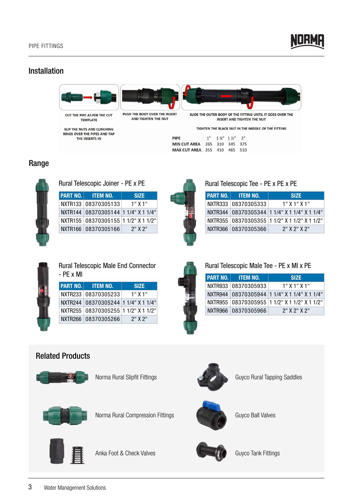

# Installation



SLIP THE NUTS AND CLINCHING<br>RINGS OVER THE PIPES AND TAP THE INSERTS IN

TIGHTEN THE BLACK NUT IN THE MIDDLE OF THE FITTING

| PIPE                                |  | $1''$ $1\frac{1}{4}$ $1\frac{1}{5}$ $2''$ $2''$ |  |
|-------------------------------------|--|-------------------------------------------------|--|
| MIN CUT AREA   265 310 345 375      |  |                                                 |  |
| <b>MAX CUT AREA 355 410 465 510</b> |  |                                                 |  |

# Range



Rural Telescopic Joiner - PE x PE

| <b>PART NO. ITEM NO.</b>               | <b>SIZE</b> |
|----------------------------------------|-------------|
| NXTR133 08370305133                    | 1" X 1"     |
| NXTR144   08370305144   11/4" X 11/4"  |             |
| NXTR155   08370305155  1 1/2" X 1 1/2" |             |
| NXTR166 08370305166                    | $2"$ X $2"$ |



| <b>PART NO. TTEM NO.</b> | <b>SIZE</b>                                      |
|--------------------------|--------------------------------------------------|
| NXTR333 08370305333      | $1"$ X $1"$ X $1"$                               |
|                          | NXTR344   08370305344   1 1/4" X 1 1/4" X 1 1/4" |
|                          | NXTR355   08370305355   1 1/2" X 1 1/2" X 1 1/2" |
| NXTR366 08370305366      | $2"$ X $2"$ X $2"$                               |



| <b>Rural Telescopic Male End Connector</b> |
|--------------------------------------------|
| - PE x MI                                  |

| <b>PART NO. ITEM NO.</b>            | <b>SIZE</b> |
|-------------------------------------|-------------|
| NXTR233 08370305233                 | $1"$ X $1"$ |
| NXTR244 08370305244 1 1/4" X 1 1/4" |             |
| NXTR255 08370305255 1 1/2" X 1 1/2" |             |
| NXTR266 08370305266                 | $2"$ X $2"$ |

| $\sim$ |
|--------|
|        |
|        |

| Rural Telescopic Male Tee - PE x MI x PE |                          |                                                  |  |
|------------------------------------------|--------------------------|--------------------------------------------------|--|
|                                          | <b>PART NO. ITEM NO.</b> | <b>SIZE</b>                                      |  |
|                                          | NXTR933 08370305933      | $1"$ X $1"$ X $1"$                               |  |
|                                          |                          | NXTR944 08370305944 1 1/4" X 1 1/4" X 1 1/4"     |  |
|                                          |                          | NXTR955   08370305955   1 1/2" X 1 1/2" X 1 1/2" |  |
|                                          | NXTR966 08370305966      | $2"$ X $2"$ X $2"$                               |  |

# Related Products



Norma Rural Slipfit Fittings



Guyco Rural Tapping Saddles



Norma Rural Compression Fittings



Anka Foot & Check Valves



Guyco Ball Valves



Guyco Tank Fittings